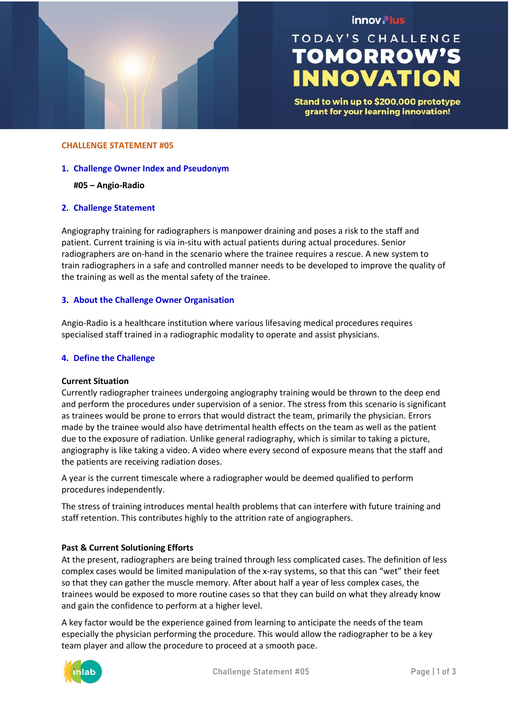

# innov. lus

# **TODAY'S CHALLENGE TOMORROW'S INNOVATION**

Stand to win up to \$200,000 prototype grant for your learning innovation!

#### **CHALLENGE STATEMENT #05**

#### **1. Challenge Owner Index and Pseudonym**

#### **#05 – Angio-Radio**

#### **2. Challenge Statement**

Angiography training for radiographers is manpower draining and poses a risk to the staff and patient. Current training is via in-situ with actual patients during actual procedures. Senior radiographers are on-hand in the scenario where the trainee requires a rescue. A new system to train radiographers in a safe and controlled manner needs to be developed to improve the quality of the training as well as the mental safety of the trainee.

## **3. About the Challenge Owner Organisation**

Angio-Radio is a healthcare institution where various lifesaving medical procedures requires specialised staff trained in a radiographic modality to operate and assist physicians.

#### **4. Define the Challenge**

#### **Current Situation**

Currently radiographer trainees undergoing angiography training would be thrown to the deep end and perform the procedures under supervision of a senior. The stress from this scenario is significant as trainees would be prone to errors that would distract the team, primarily the physician. Errors made by the trainee would also have detrimental health effects on the team as well as the patient due to the exposure of radiation. Unlike general radiography, which is similar to taking a picture, angiography is like taking a video. A video where every second of exposure means that the staff and the patients are receiving radiation doses.

A year is the current timescale where a radiographer would be deemed qualified to perform procedures independently.

The stress of training introduces mental health problems that can interfere with future training and staff retention. This contributes highly to the attrition rate of angiographers.

#### **Past & Current Solutioning Efforts**

At the present, radiographers are being trained through less complicated cases. The definition of less complex cases would be limited manipulation of the x-ray systems, so that this can "wet" their feet so that they can gather the muscle memory. After about half a year of less complex cases, the trainees would be exposed to more routine cases so that they can build on what they already know and gain the confidence to perform at a higher level.

A key factor would be the experience gained from learning to anticipate the needs of the team especially the physician performing the procedure. This would allow the radiographer to be a key team player and allow the procedure to proceed at a smooth pace.

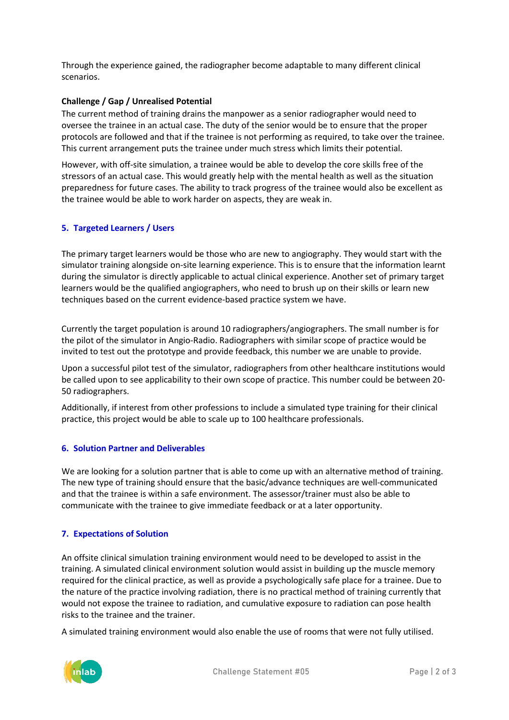Through the experience gained, the radiographer become adaptable to many different clinical scenarios.

# **Challenge / Gap / Unrealised Potential**

The current method of training drains the manpower as a senior radiographer would need to oversee the trainee in an actual case. The duty of the senior would be to ensure that the proper protocols are followed and that if the trainee is not performing as required, to take over the trainee. This current arrangement puts the trainee under much stress which limits their potential.

However, with off-site simulation, a trainee would be able to develop the core skills free of the stressors of an actual case. This would greatly help with the mental health as well as the situation preparedness for future cases. The ability to track progress of the trainee would also be excellent as the trainee would be able to work harder on aspects, they are weak in.

## **5. Targeted Learners / Users**

The primary target learners would be those who are new to angiography. They would start with the simulator training alongside on-site learning experience. This is to ensure that the information learnt during the simulator is directly applicable to actual clinical experience. Another set of primary target learners would be the qualified angiographers, who need to brush up on their skills or learn new techniques based on the current evidence-based practice system we have.

Currently the target population is around 10 radiographers/angiographers. The small number is for the pilot of the simulator in Angio-Radio. Radiographers with similar scope of practice would be invited to test out the prototype and provide feedback, this number we are unable to provide.

Upon a successful pilot test of the simulator, radiographers from other healthcare institutions would be called upon to see applicability to their own scope of practice. This number could be between 20- 50 radiographers.

Additionally, if interest from other professions to include a simulated type training for their clinical practice, this project would be able to scale up to 100 healthcare professionals.

# **6. Solution Partner and Deliverables**

We are looking for a solution partner that is able to come up with an alternative method of training. The new type of training should ensure that the basic/advance techniques are well-communicated and that the trainee is within a safe environment. The assessor/trainer must also be able to communicate with the trainee to give immediate feedback or at a later opportunity.

#### **7. Expectations of Solution**

An offsite clinical simulation training environment would need to be developed to assist in the training. A simulated clinical environment solution would assist in building up the muscle memory required for the clinical practice, as well as provide a psychologically safe place for a trainee. Due to the nature of the practice involving radiation, there is no practical method of training currently that would not expose the trainee to radiation, and cumulative exposure to radiation can pose health risks to the trainee and the trainer.

A simulated training environment would also enable the use of rooms that were not fully utilised.